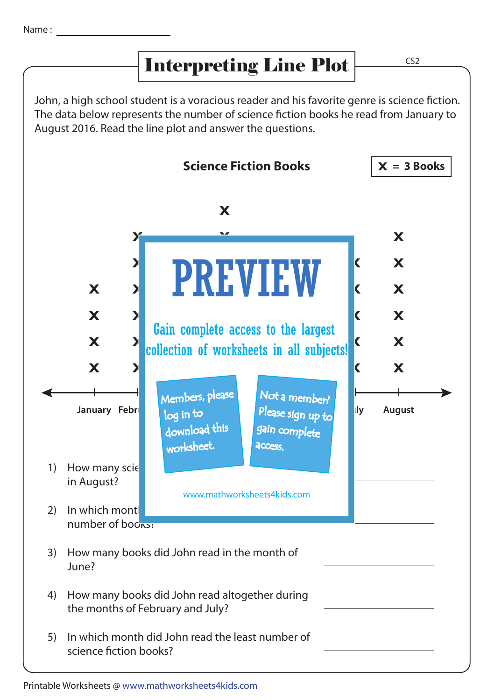## Interpreting Line Plot

CS2

John, a high school student is a voracious reader and his favorite genre is science fiction. The data below represents the number of science fiction books he read from January to August 2016. Read the line plot and answer the questions.